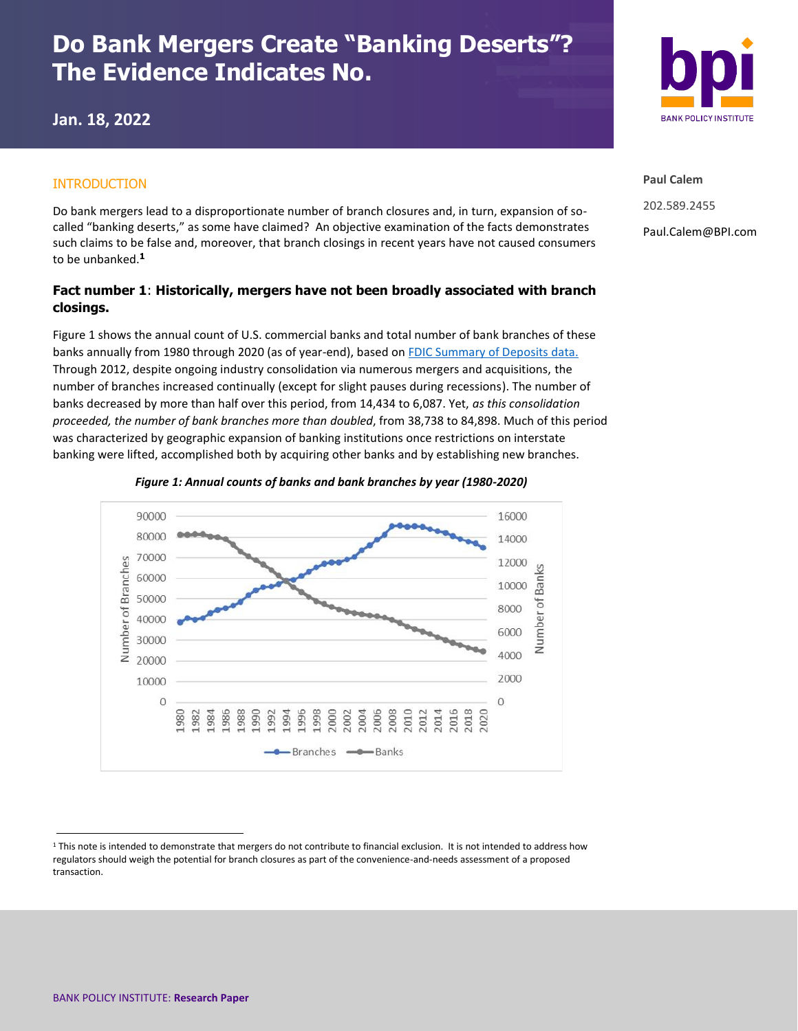# **Do Bank Mergers Create "Banking Deserts"? The Evidence Indicates No.**

**Jan. 18, 2022**

### INTRODUCTION

Do bank mergers lead to a disproportionate number of branch closures and, in turn, expansion of socalled "banking deserts," as some have claimed? An objective examination of the facts demonstrates such claims to be false and, moreover, that branch closings in recent years have not caused consumers to be unbanked. **1**

## **Fact number 1**: **Historically, mergers have not been broadly associated with branch closings.**

Figure 1 shows the annual count of U.S. commercial banks and total number of bank branches of these banks annually from 1980 through 2020 (as of year-end), based on [FDIC Summary of Deposits data.](https://banks.data.fdic.gov/explore/historical?displayFields=STNAME%2CTOTAL%2CBRANCHES%2CNew_Char&selectedEndDate=2020&selectedReport=CBS&selectedStartDate=1934&selectedStates=0&sortField=YEAR&sortOrder=desc) Through 2012, despite ongoing industry consolidation via numerous mergers and acquisitions, the number of branches increased continually (except for slight pauses during recessions). The number of banks decreased by more than half over this period, from 14,434 to 6,087. Yet, *as this consolidation proceeded, the number of bank branches more than doubled*, from 38,738 to 84,898. Much of this period was characterized by geographic expansion of banking institutions once restrictions on interstate banking were lifted, accomplished both by acquiring other banks and by establishing new branches.







**Paul Calem** 202.589.2455 Paul.Calem@BPI.com

<sup>1</sup> This note is intended to demonstrate that mergers do not contribute to financial exclusion. It is not intended to address how regulators should weigh the potential for branch closures as part of the convenience-and-needs assessment of a proposed transaction.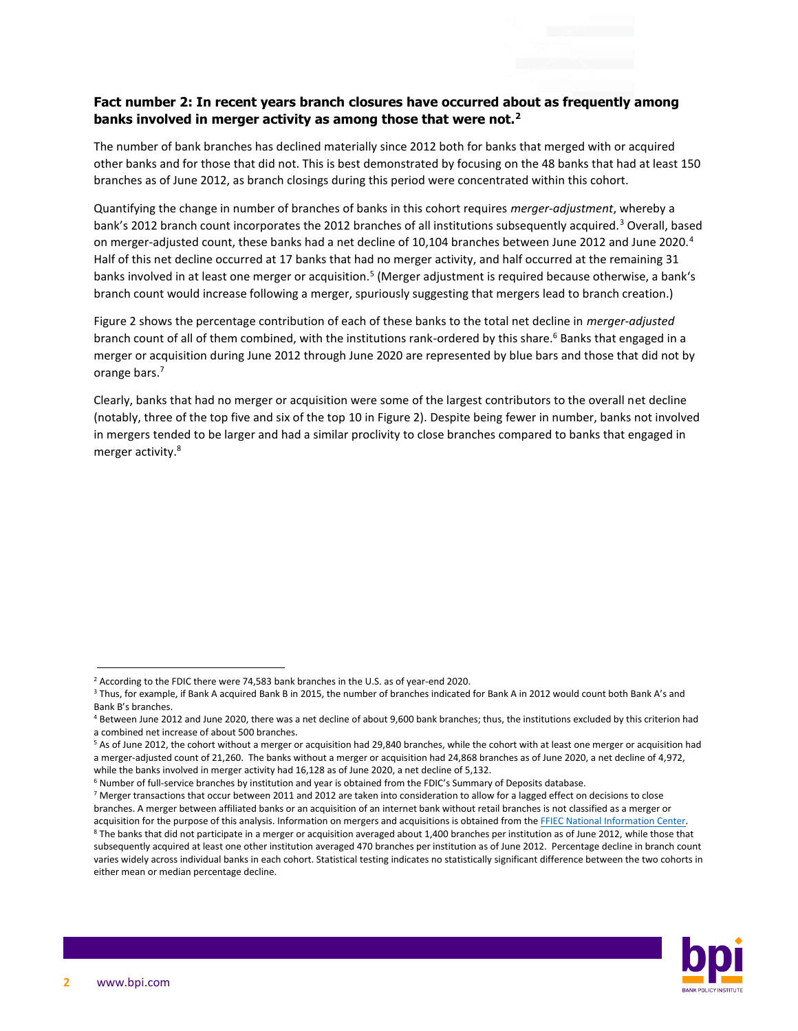#### **Fact number 2: In recent years branch closures have occurred about as frequently among banks involved in merger activity as among those that were not.<sup>2</sup>**

The number of bank branches has declined materially since 2012 both for banks that merged with or acquired other banks and for those that did not. This is best demonstrated by focusing on the 48 banks that had at least 150 branches as of June 2012, as branch closings during this period were concentrated within this cohort.

Quantifying the change in number of branches of banks in this cohort requires *merger-adjustment*, whereby a bank's 2012 branch count incorporates the 2012 branches of all institutions subsequently acquired.<sup>3</sup> Overall, based on merger-adjusted count, these banks had a net decline of 10,104 branches between June 2012 and June 2020.<sup>4</sup> Half of this net decline occurred at 17 banks that had no merger activity, and half occurred at the remaining 31 banks involved in at least one merger or acquisition.<sup>5</sup> (Merger adjustment is required because otherwise, a bank's branch count would increase following a merger, spuriously suggesting that mergers lead to branch creation.)

Figure 2 shows the percentage contribution of each of these banks to the total net decline in *merger-adjusted* branch count of all of them combined, with the institutions rank-ordered by this share.<sup>6</sup> Banks that engaged in a merger or acquisition during June 2012 through June 2020 are represented by blue bars and those that did not by orange bars.<sup>7</sup>

Clearly, banks that had no merger or acquisition were some of the largest contributors to the overall net decline (notably, three of the top five and six of the top 10 in Figure 2). Despite being fewer in number, banks not involved in mergers tended to be larger and had a similar proclivity to close branches compared to banks that engaged in merger activity.<sup>8</sup>



<sup>&</sup>lt;sup>2</sup> According to the FDIC there were 74,583 bank branches in the U.S. as of year-end 2020.

<sup>&</sup>lt;sup>3</sup> Thus, for example, if Bank A acquired Bank B in 2015, the number of branches indicated for Bank A in 2012 would count both Bank A's and Bank B's branches.

<sup>4</sup> Between June 2012 and June 2020, there was a net decline of about 9,600 bank branches; thus, the institutions excluded by this criterion had a combined net increase of about 500 branches.

<sup>5</sup> As of June 2012, the cohort without a merger or acquisition had 29,840 branches, while the cohort with at least one merger or acquisition had a merger-adjusted count of 21,260. The banks without a merger or acquisition had 24,868 branches as of June 2020, a net decline of 4,972, while the banks involved in merger activity had 16,128 as of June 2020, a net decline of 5,132.

<sup>&</sup>lt;sup>6</sup> Number of full-service branches by institution and year is obtained from the FDIC's Summary of Deposits database.  $7$  Merger transactions that occur between 2011 and 2012 are taken into consideration to allow for a lagged effect on decisions to close

branches. A merger between affiliated banks or an acquisition of an internet bank without retail branches is not classified as a merger or acquisition for the purpose of this analysis. Information on mergers and acquisitions is obtained from th[e FFIEC National Information Center.](https://www.ffiec.gov/NPW)

<sup>&</sup>lt;sup>8</sup> The banks that did not participate in a merger or acquisition averaged about 1,400 branches per institution as of June 2012, while those that subsequently acquired at least one other institution averaged 470 branches per institution as of June 2012. Percentage decline in branch count varies widely across individual banks in each cohort. Statistical testing indicates no statistically significant difference between the two cohorts in either mean or median percentage decline.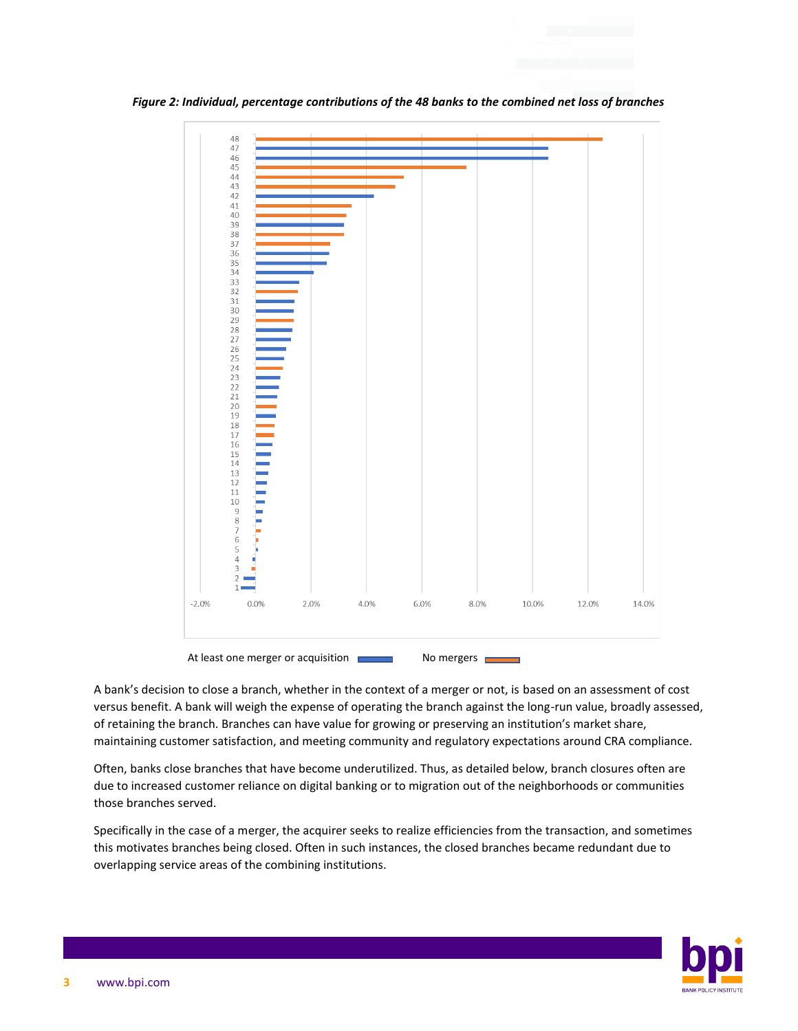

*Figure 2: Individual, percentage contributions of the 48 banks to the combined net loss of branches*

A bank's decision to close a branch, whether in the context of a merger or not, is based on an assessment of cost versus benefit. A bank will weigh the expense of operating the branch against the long-run value, broadly assessed, of retaining the branch. Branches can have value for growing or preserving an institution's market share, maintaining customer satisfaction, and meeting community and regulatory expectations around CRA compliance.

Often, banks close branches that have become underutilized. Thus, as detailed below, branch closures often are due to increased customer reliance on digital banking or to migration out of the neighborhoods or communities those branches served.

Specifically in the case of a merger, the acquirer seeks to realize efficiencies from the transaction, and sometimes this motivates branches being closed. Often in such instances, the closed branches became redundant due to overlapping service areas of the combining institutions.

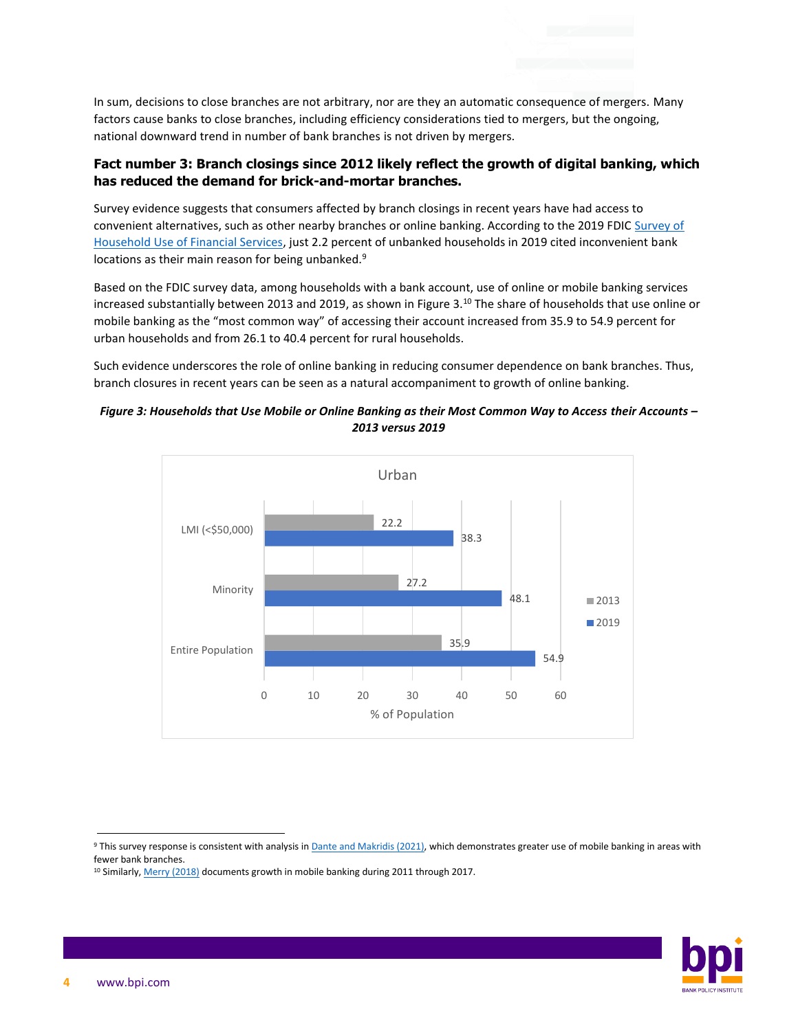In sum, decisions to close branches are not arbitrary, nor are they an automatic consequence of mergers. Many factors cause banks to close branches, including efficiency considerations tied to mergers, but the ongoing, national downward trend in number of bank branches is not driven by mergers.

#### **Fact number 3: Branch closings since 2012 likely reflect the growth of digital banking, which has reduced the demand for brick-and-mortar branches.**

Survey evidence suggests that consumers affected by branch closings in recent years have had access to convenient alternatives, such as other nearby branches or online banking. According to the 2019 FDIC [Survey of](https://www.economicinclusion.gov/surveys/)  [Household Use of Financial Services,](https://www.economicinclusion.gov/surveys/) just 2.2 percent of unbanked households in 2019 cited inconvenient bank locations as their main reason for being unbanked.<sup>9</sup>

Based on the FDIC survey data, among households with a bank account, use of online or mobile banking services increased substantially between 2013 and 2019, as shown in Figure 3.<sup>10</sup> The share of households that use online or mobile banking as the "most common way" of accessing their account increased from 35.9 to 54.9 percent for urban households and from 26.1 to 40.4 percent for rural households.

Such evidence underscores the role of online banking in reducing consumer dependence on bank branches. Thus, branch closures in recent years can be seen as a natural accompaniment to growth of online banking.

#### *Figure 3: Households that Use Mobile or Online Banking as their Most Common Way to Access their Accounts – 2013 versus 2019*



9 This survey response is consistent with analysis i[n Dante and Makridis \(2021\),](https://papers.ssrn.com/sol3/papers.cfm?abstract_id=3822561) which demonstrates greater use of mobile banking in areas with fewer bank branches.



<sup>&</sup>lt;sup>10</sup> Similarly[, Merry \(2018\)](https://www.federalreserve.gov/econres/notes/feds-notes/mobile-banking-a-closer-look-at-survey-measures-20180327.htm) documents growth in mobile banking during 2011 through 2017.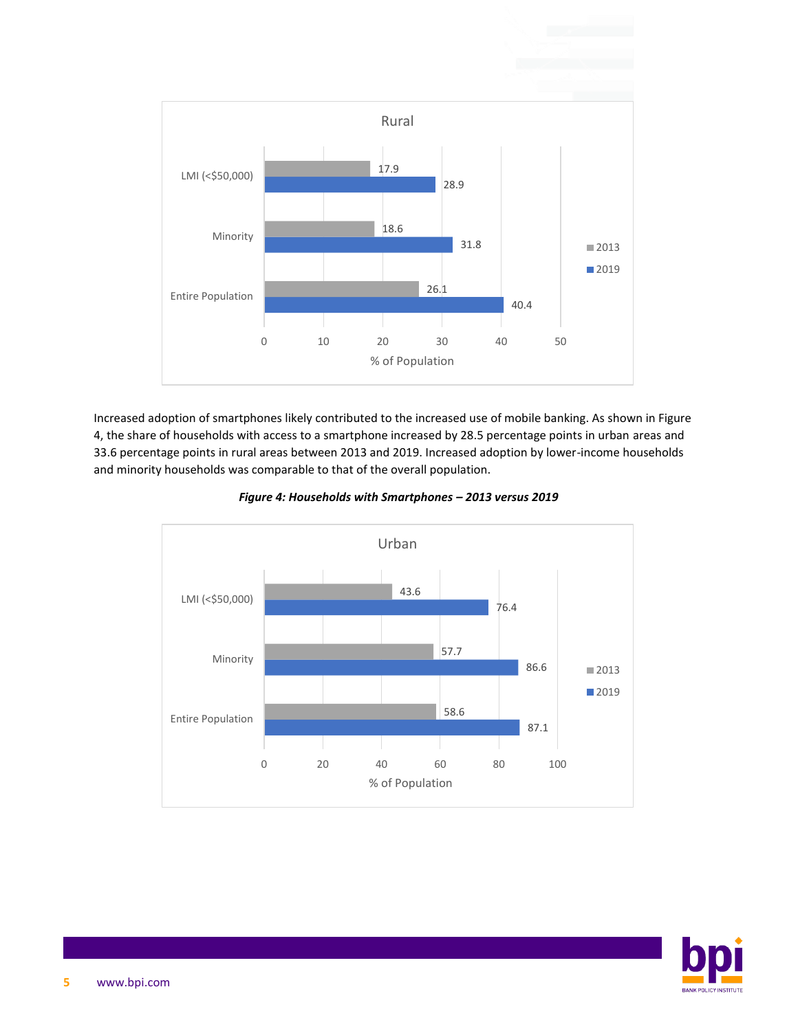

Increased adoption of smartphones likely contributed to the increased use of mobile banking. As shown in Figure 4, the share of households with access to a smartphone increased by 28.5 percentage points in urban areas and 33.6 percentage points in rural areas between 2013 and 2019. Increased adoption by lower-income households and minority households was comparable to that of the overall population.



*Figure 4: Households with Smartphones – 2013 versus 2019*

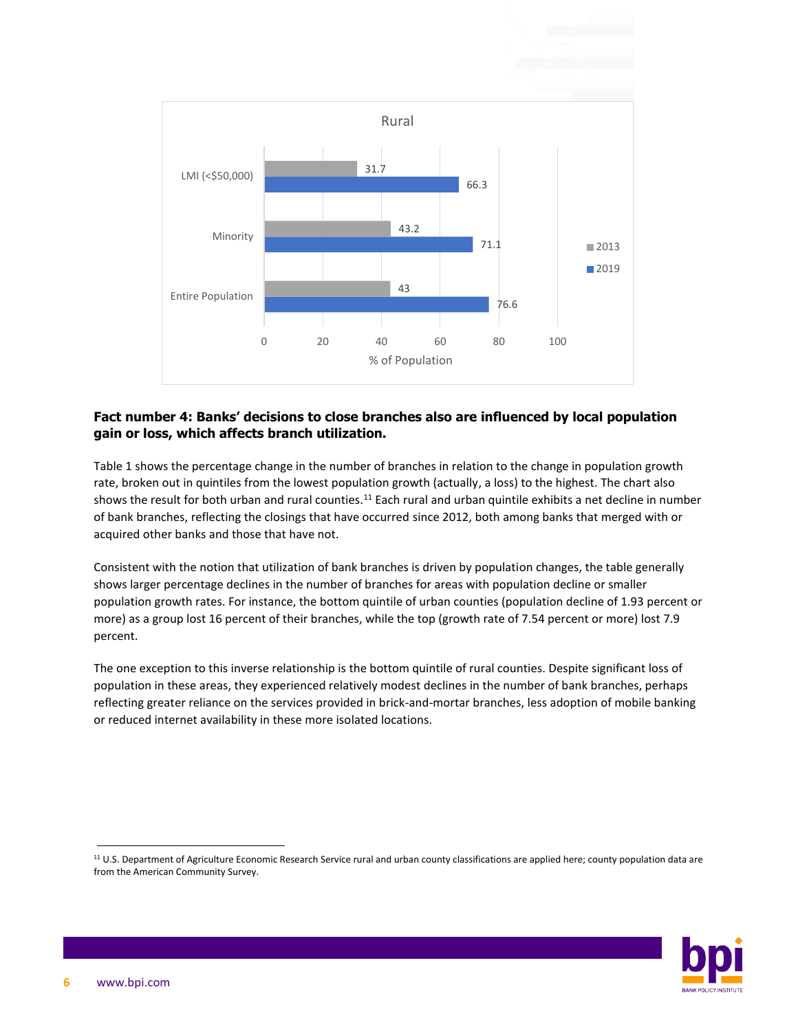

### **Fact number 4: Banks' decisions to close branches also are influenced by local population gain or loss, which affects branch utilization.**

Table 1 shows the percentage change in the number of branches in relation to the change in population growth rate, broken out in quintiles from the lowest population growth (actually, a loss) to the highest. The chart also shows the result for both urban and rural counties.<sup>11</sup> Each rural and urban quintile exhibits a net decline in number of bank branches, reflecting the closings that have occurred since 2012, both among banks that merged with or acquired other banks and those that have not.

Consistent with the notion that utilization of bank branches is driven by population changes, the table generally shows larger percentage declines in the number of branches for areas with population decline or smaller population growth rates. For instance, the bottom quintile of urban counties (population decline of 1.93 percent or more) as a group lost 16 percent of their branches, while the top (growth rate of 7.54 percent or more) lost 7.9 percent.

The one exception to this inverse relationship is the bottom quintile of rural counties. Despite significant loss of population in these areas, they experienced relatively modest declines in the number of bank branches, perhaps reflecting greater reliance on the services provided in brick-and-mortar branches, less adoption of mobile banking or reduced internet availability in these more isolated locations.

<sup>11</sup> U.S. Department of Agriculture Economic Research Service rural and urban county classifications are applied here; county population data are from the American Community Survey.

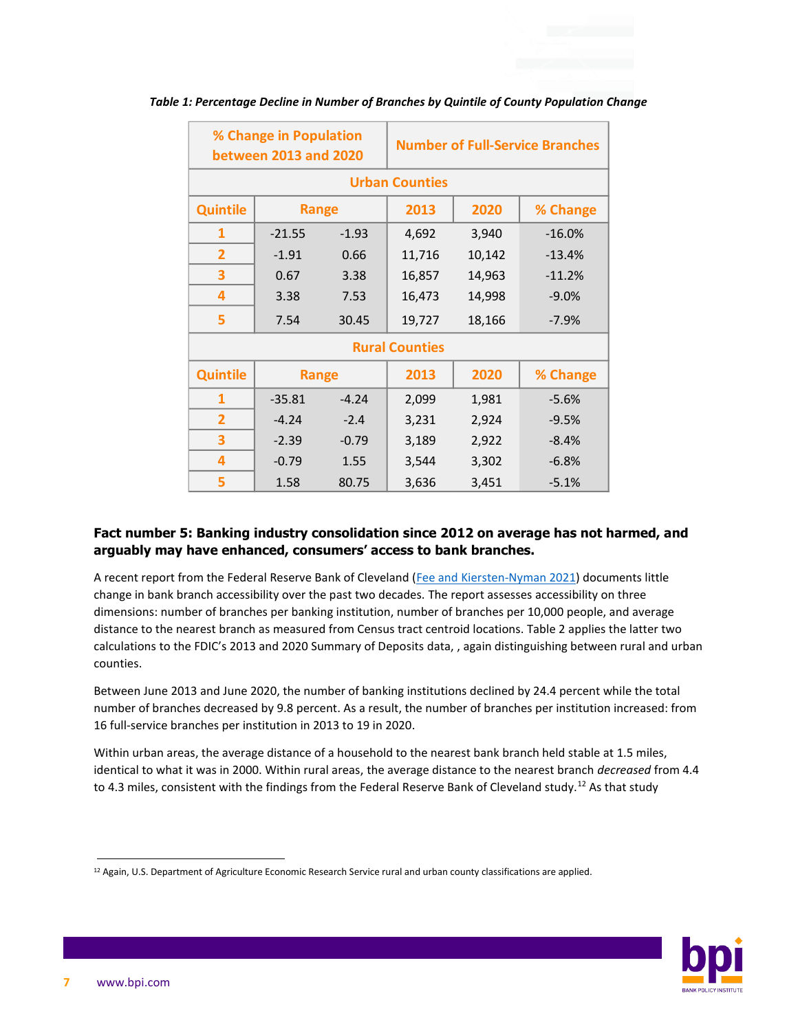| % Change in Population<br><b>between 2013 and 2020</b> |              |         | <b>Number of Full-Service Branches</b> |        |          |  |  |  |
|--------------------------------------------------------|--------------|---------|----------------------------------------|--------|----------|--|--|--|
| <b>Urban Counties</b>                                  |              |         |                                        |        |          |  |  |  |
| <b>Quintile</b>                                        | <b>Range</b> |         | 2013                                   | 2020   | % Change |  |  |  |
| 1                                                      | $-21.55$     | $-1.93$ | 4,692                                  | 3,940  | $-16.0%$ |  |  |  |
| $\overline{2}$                                         | $-1.91$      | 0.66    | 11,716                                 | 10,142 | $-13.4%$ |  |  |  |
| 3                                                      | 0.67         | 3.38    | 16,857                                 | 14,963 | $-11.2%$ |  |  |  |
| 4                                                      | 3.38         | 7.53    | 16,473                                 | 14,998 | $-9.0%$  |  |  |  |
| 5                                                      | 7.54         | 30.45   | 19,727                                 | 18,166 | $-7.9%$  |  |  |  |
| <b>Rural Counties</b>                                  |              |         |                                        |        |          |  |  |  |
| <b>Quintile</b>                                        | Range        |         | 2013                                   | 2020   | % Change |  |  |  |
| 1                                                      | $-35.81$     | $-4.24$ | 2,099                                  | 1,981  | $-5.6%$  |  |  |  |
| $\overline{2}$                                         | $-4.24$      | $-2.4$  | 3,231                                  | 2,924  | $-9.5%$  |  |  |  |
| 3                                                      | $-2.39$      | $-0.79$ | 3,189                                  | 2,922  | $-8.4%$  |  |  |  |
| 4                                                      | $-0.79$      | 1.55    | 3,544                                  | 3,302  | $-6.8%$  |  |  |  |
| 5                                                      | 1.58         | 80.75   | 3,636                                  | 3,451  | $-5.1%$  |  |  |  |

*Table 1: Percentage Decline in Number of Branches by Quintile of County Population Change*

### **Fact number 5: Banking industry consolidation since 2012 on average has not harmed, and arguably may have enhanced, consumers' access to bank branches.**

A recent report from the Federal Reserve Bank of Cleveland [\(Fee and Kiersten-Nyman 2021\)](https://www.clevelandfed.org/en/newsroom-and-events/publications/community-development-briefs/db-20211006-has-bank-consolidation-changed-peoples-access.aspx) documents little change in bank branch accessibility over the past two decades. The report assesses accessibility on three dimensions: number of branches per banking institution, number of branches per 10,000 people, and average distance to the nearest branch as measured from Census tract centroid locations. Table 2 applies the latter two calculations to the FDIC's 2013 and 2020 Summary of Deposits data, , again distinguishing between rural and urban counties.

Between June 2013 and June 2020, the number of banking institutions declined by 24.4 percent while the total number of branches decreased by 9.8 percent. As a result, the number of branches per institution increased: from 16 full-service branches per institution in 2013 to 19 in 2020.

Within urban areas, the average distance of a household to the nearest bank branch held stable at 1.5 miles, identical to what it was in 2000. Within rural areas, the average distance to the nearest branch *decreased* from 4.4 to 4.3 miles, consistent with the findings from the Federal Reserve Bank of Cleveland study.<sup>12</sup> As that study



 $12$  Again, U.S. Department of Agriculture Economic Research Service rural and urban county classifications are applied.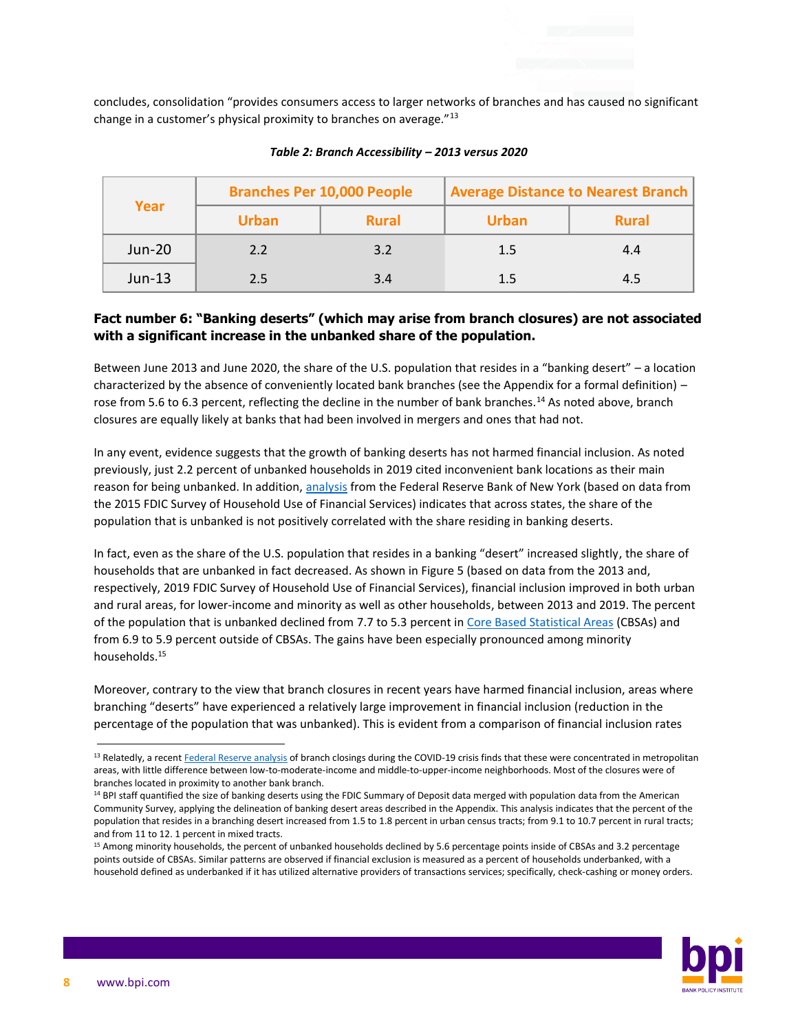concludes, consolidation "provides consumers access to larger networks of branches and has caused no significant change in a customer's physical proximity to branches on average."<sup>13</sup>

| Year          |              | <b>Branches Per 10,000 People</b> | <b>Average Distance to Nearest Branch</b> |              |
|---------------|--------------|-----------------------------------|-------------------------------------------|--------------|
|               | <b>Urban</b> | <b>Rural</b>                      | <b>Urban</b>                              | <b>Rural</b> |
| <b>Jun-20</b> | 2.2          | 3.2                               | 1.5                                       | 4.4          |
| $Jun-13$      | 2.5          | 3.4                               |                                           | 4.5          |

#### *Table 2: Branch Accessibility – 2013 versus 2020*

#### **Fact number 6: "Banking deserts" (which may arise from branch closures) are not associated with a significant increase in the unbanked share of the population.**

Between June 2013 and June 2020, the share of the U.S. population that resides in a "banking desert" – a location characterized by the absence of conveniently located bank branches (see the Appendix for a formal definition) – rose from 5.6 to 6.3 percent, reflecting the decline in the number of bank branches.<sup>14</sup> As noted above, branch closures are equally likely at banks that had been involved in mergers and ones that had not.

In any event, evidence suggests that the growth of banking deserts has not harmed financial inclusion. As noted previously, just 2.2 percent of unbanked households in 2019 cited inconvenient bank locations as their main reason for being unbanked. In addition[, analysis](https://libertystreeteconomics.newyorkfed.org/2018/01/the-banking-desert-mirage/#interactive-chart) from the Federal Reserve Bank of New York (based on data from the 2015 FDIC Survey of Household Use of Financial Services) indicates that across states, the share of the population that is unbanked is not positively correlated with the share residing in banking deserts.

In fact, even as the share of the U.S. population that resides in a banking "desert" increased slightly, the share of households that are unbanked in fact decreased. As shown in Figure 5 (based on data from the 2013 and, respectively, 2019 FDIC Survey of Household Use of Financial Services), financial inclusion improved in both urban and rural areas, for lower-income and minority as well as other households, between 2013 and 2019. The percent of the population that is unbanked declined from 7.7 to 5.3 percent i[n Core Based Statistical Areas](https://www.census.gov/programs-surveys/metro-micro/about.html) (CBSAs) and from 6.9 to 5.9 percent outside of CBSAs. The gains have been especially pronounced among minority households.<sup>15</sup>

Moreover, contrary to the view that branch closures in recent years have harmed financial inclusion, areas where branching "deserts" have experienced a relatively large improvement in financial inclusion (reduction in the percentage of the population that was unbanked). This is evident from a comparison of financial inclusion rates



<sup>&</sup>lt;sup>13</sup> Relatedly, a recen[t Federal Reserve analysis](https://www.federalreserve.gov/econres/notes/feds-notes/bank-branches-and-covid-19-where-are-banks-closing-branches-during-the-pandemic-20211217.htm) of branch closings during the COVID-19 crisis finds that these were concentrated in metropolitan areas, with little difference between low-to-moderate-income and middle-to-upper-income neighborhoods. Most of the closures were of branches located in proximity to another bank branch.

<sup>&</sup>lt;sup>14</sup> BPI staff quantified the size of banking deserts using the FDIC Summary of Deposit data merged with population data from the American Community Survey, applying the delineation of banking desert areas described in the Appendix. This analysis indicates that the percent of the population that resides in a branching desert increased from 1.5 to 1.8 percent in urban census tracts; from 9.1 to 10.7 percent in rural tracts; and from 11 to 12. 1 percent in mixed tracts.

<sup>15</sup> Among minority households, the percent of unbanked households declined by 5.6 percentage points inside of CBSAs and 3.2 percentage points outside of CBSAs. Similar patterns are observed if financial exclusion is measured as a percent of households underbanked, with a household defined as underbanked if it has utilized alternative providers of transactions services; specifically, check-cashing or money orders.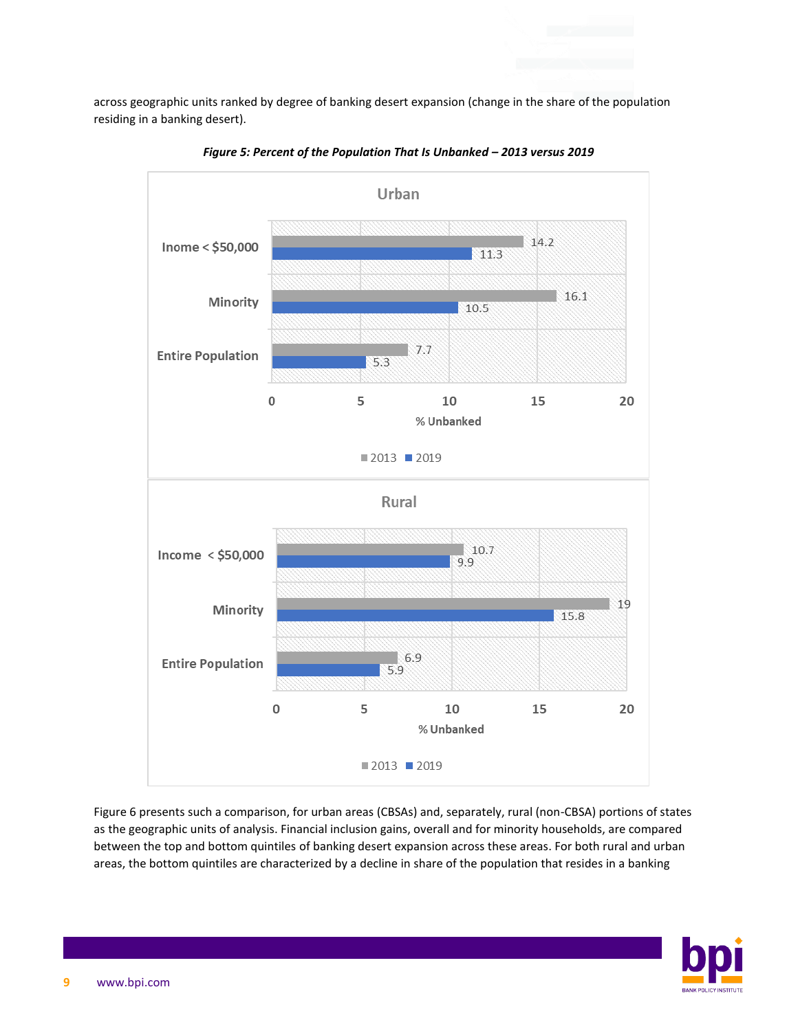across geographic units ranked by degree of banking desert expansion (change in the share of the population residing in a banking desert).



*Figure 5: Percent of the Population That Is Unbanked – 2013 versus 2019*

Figure 6 presents such a comparison, for urban areas (CBSAs) and, separately, rural (non-CBSA) portions of states as the geographic units of analysis. Financial inclusion gains, overall and for minority households, are compared between the top and bottom quintiles of banking desert expansion across these areas. For both rural and urban areas, the bottom quintiles are characterized by a decline in share of the population that resides in a banking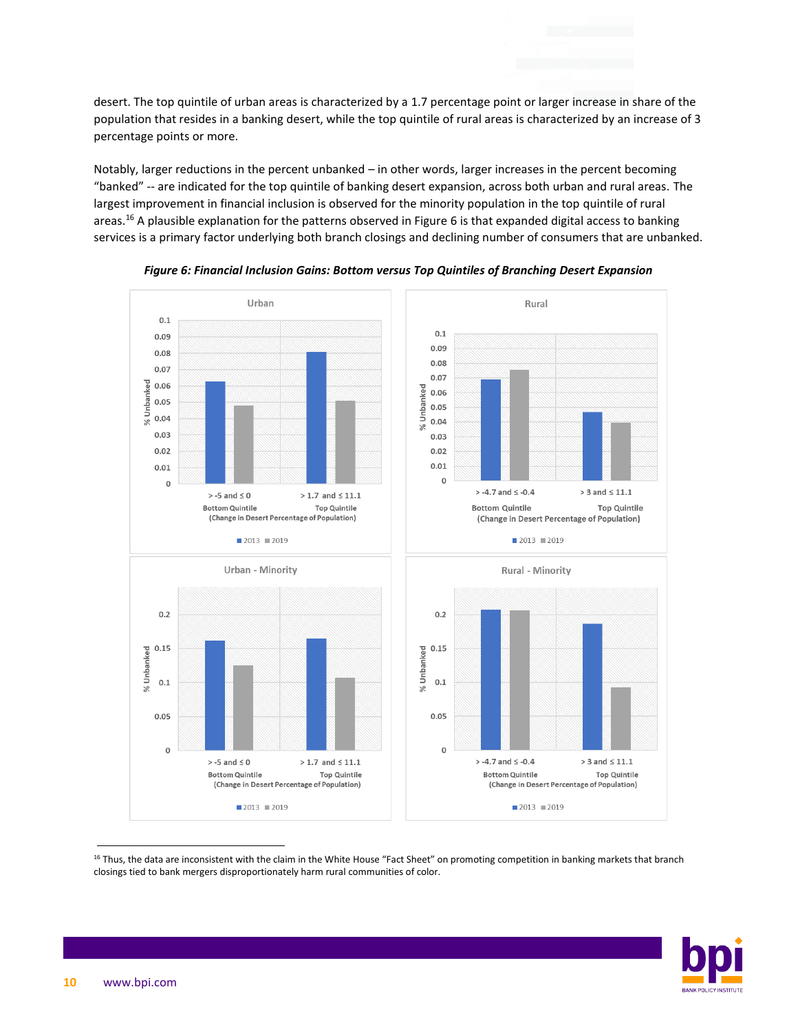desert. The top quintile of urban areas is characterized by a 1.7 percentage point or larger increase in share of the population that resides in a banking desert, while the top quintile of rural areas is characterized by an increase of 3 percentage points or more.

Notably, larger reductions in the percent unbanked – in other words, larger increases in the percent becoming "banked" -- are indicated for the top quintile of banking desert expansion, across both urban and rural areas. The largest improvement in financial inclusion is observed for the minority population in the top quintile of rural areas.<sup>16</sup> A plausible explanation for the patterns observed in Figure 6 is that expanded digital access to banking services is a primary factor underlying both branch closings and declining number of consumers that are unbanked.



*Figure 6: Financial Inclusion Gains: Bottom versus Top Quintiles of Branching Desert Expansion*



<sup>&</sup>lt;sup>16</sup> Thus, the data are inconsistent with the claim in the White House "Fact Sheet" on promoting competition in banking markets that branch closings tied to bank mergers disproportionately harm rural communities of color.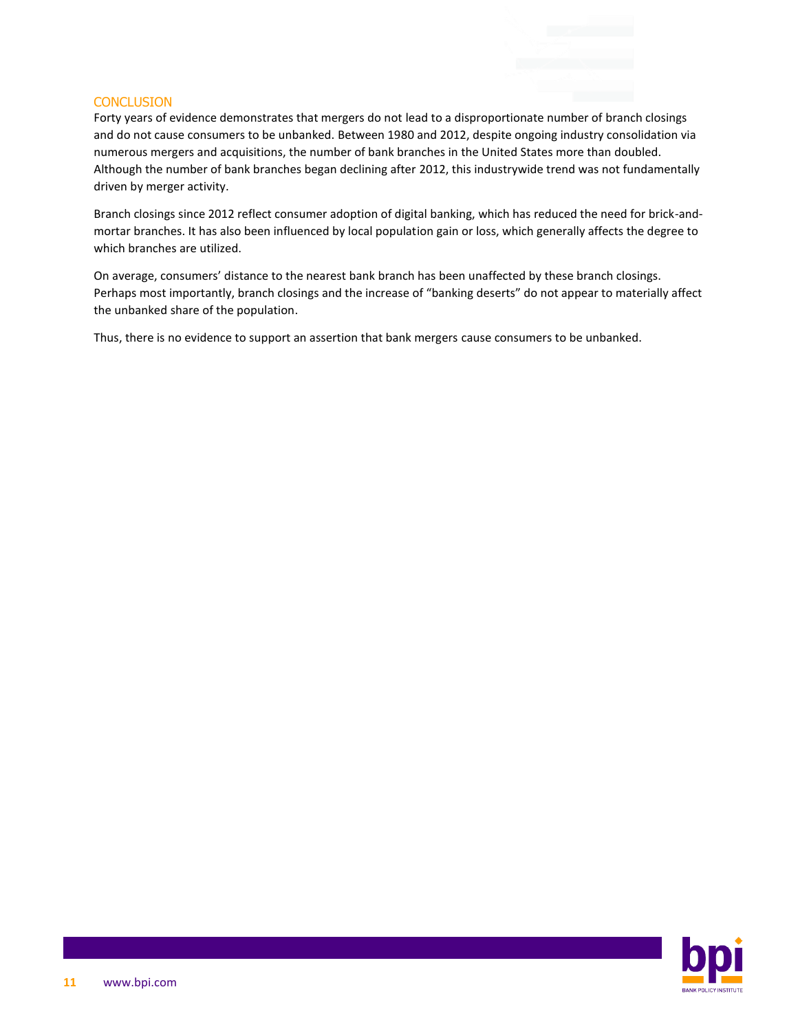#### **CONCLUSION**

Forty years of evidence demonstrates that mergers do not lead to a disproportionate number of branch closings and do not cause consumers to be unbanked. [Between 1980 and 2012,](https://banks.data.fdic.gov/explore/historical?displayFields=STNAME%2CTOTAL%2CBRANCHES%2CNew_Char&selectedEndDate=2020&selectedReport=CBS&selectedStartDate=1934&selectedStates=0&sortField=YEAR&sortOrder=desc) despite ongoing industry consolidation via numerous mergers and acquisitions, the number of bank branches in the United States more than doubled. Although the number of bank branches began declining after 2012, this industrywide trend was not fundamentally driven by merger activity.

Branch closings since 2012 reflect consumer adoption of digital banking, which has reduced the need for brick-andmortar branches. It has also been influenced by local population gain or loss, which generally affects the degree to which branches are utilized.

On average, consumers' distance to the nearest bank branch has been unaffected by these branch closings. Perhaps most importantly, branch closings and the increase of "banking deserts" do not appear to materially affect the unbanked share of the population.

Thus, there is no evidence to support an assertion that bank mergers cause consumers to be unbanked.